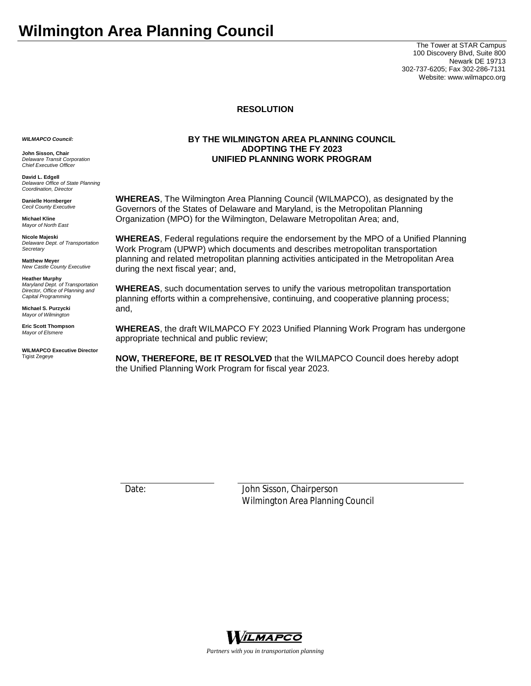The Tower at STAR Campus 100 Discovery Blvd, Suite 800 Newark DE 19713 302-737-6205; Fax 302-286-7131 Website: www.wilmapco.org

## **RESOLUTION**

*WILMAPCO Council:*

**John Sisson, Chair** *Delaware Transit Corporation Chief Executive Officer*

**David L. Edgell** *Delaware Office of State Planning Coordination, Director*

**Danielle Hornberger** *Cecil County Executive*

**Michael Kline** *Mayor of North East* 

**Nicole Majeski** *Delaware Dept. of Transportation Secretary*

**Matthew Meyer** *New Castle County Executive*

**Heather Murphy** *Maryland Dept. of Transportation Director, Office of Planning and Capital Programming* 

**Michael S. Purzycki** *Mayor of Wilmington*

**Eric Scott Thompson** *Mayor of Elsmere*

**WILMAPCO Executive Director** Tigist Zegeye

## **BY THE WILMINGTON AREA PLANNING COUNCIL ADOPTING THE FY 2023 UNIFIED PLANNING WORK PROGRAM**

**WHEREAS**, The Wilmington Area Planning Council (WILMAPCO), as designated by the Governors of the States of Delaware and Maryland, is the Metropolitan Planning Organization (MPO) for the Wilmington, Delaware Metropolitan Area; and,

**WHEREAS**, Federal regulations require the endorsement by the MPO of a Unified Planning Work Program (UPWP) which documents and describes metropolitan transportation planning and related metropolitan planning activities anticipated in the Metropolitan Area during the next fiscal year; and,

**WHEREAS**, such documentation serves to unify the various metropolitan transportation planning efforts within a comprehensive, continuing, and cooperative planning process; and,

**WHEREAS**, the draft WILMAPCO FY 2023 Unified Planning Work Program has undergone appropriate technical and public review;

**NOW, THEREFORE, BE IT RESOLVED** that the WILMAPCO Council does hereby adopt the Unified Planning Work Program for fiscal year 2023.

Date: John Sisson, Chairperson Wilmington Area Planning Council



*Partners with you in transportation planning*